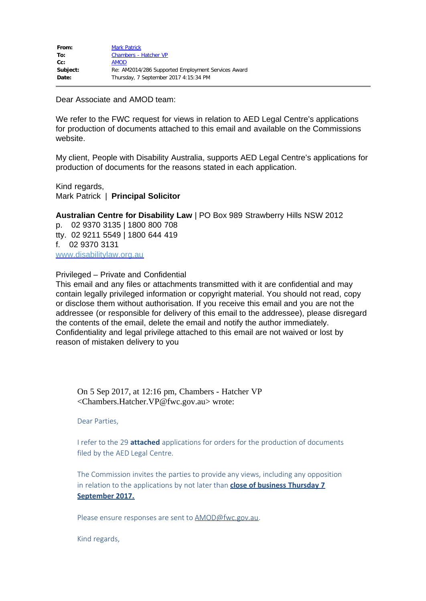Dear Associate and AMOD team:

We refer to the FWC request for views in relation to AED Legal Centre's applications for production of documents attached to this email and available on the Commissions website.

My client, People with Disability Australia, supports AED Legal Centre's applications for production of documents for the reasons stated in each application.

Kind regards, Mark Patrick | **Principal Solicitor**

**Australian Centre for Disability Law** | PO Box 989 Strawberry Hills NSW 2012

p. 02 9370 3135 | 1800 800 708 tty. 02 9211 5549 | 1800 644 419 f. 02 9370 3131 [www.disabilitylaw.org.au](http://www.disabilitylaw.org.au/)

## Privileged – Private and Confidential

This email and any files or attachments transmitted with it are confidential and may contain legally privileged information or copyright material. You should not read, copy or disclose them without authorisation. If you receive this email and you are not the addressee (or responsible for delivery of this email to the addressee), please disregard the contents of the email, delete the email and notify the author immediately. Confidentiality and legal privilege attached to this email are not waived or lost by reason of mistaken delivery to you

On 5 Sep 2017, at 12:16 pm, Chambers - Hatcher VP <Chambers.Hatcher.VP@fwc.gov.au> wrote:

Dear Parties,

I refer to the 29 **attached** applications for orders for the production of documents filed by the AED Legal Centre.

The Commission invites the parties to provide any views, including any opposition in relation to the applications by not later than **close of business Thursday 7 September 2017.**

Please ensure responses are sent to **[AMOD@fwc.gov.au](mailto:AMOD@fwc.gov.au)**.

Kind regards,